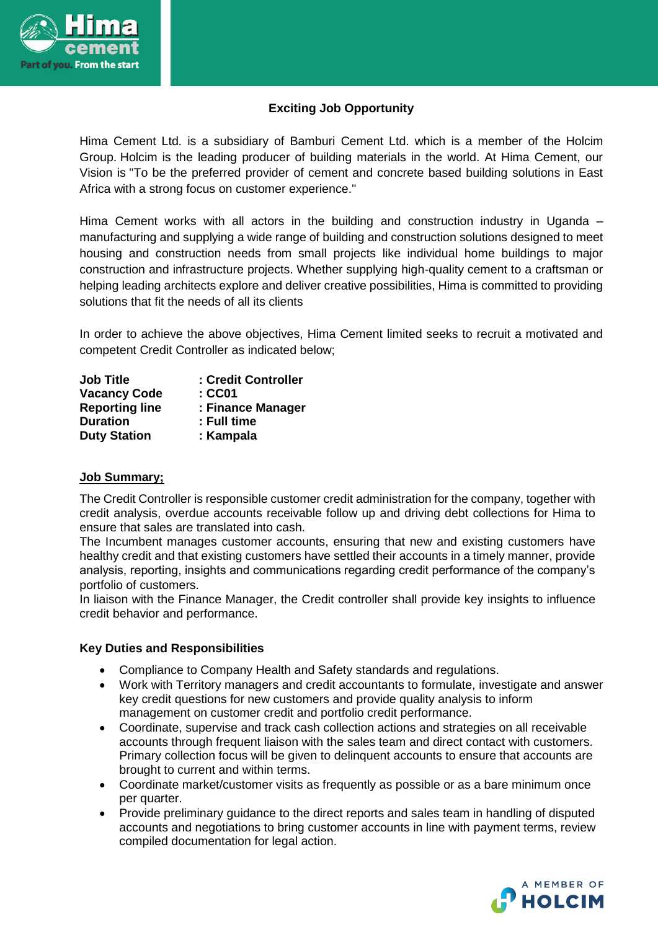

# **Exciting Job Opportunity**

Hima Cement Ltd. is a subsidiary of Bamburi Cement Ltd. which is a member of the Holcim Group. Holcim is the leading producer of building materials in the world. At Hima Cement, our Vision is "To be the preferred provider of cement and concrete based building solutions in East Africa with a strong focus on customer experience."

Hima Cement works with all actors in the building and construction industry in Uganda – manufacturing and supplying a wide range of building and construction solutions designed to meet housing and construction needs from small projects like individual home buildings to major construction and infrastructure projects. Whether supplying high-quality cement to a craftsman or helping leading architects explore and deliver creative possibilities, Hima is committed to providing solutions that fit the needs of all its clients

In order to achieve the above objectives, Hima Cement limited seeks to recruit a motivated and competent Credit Controller as indicated below;

| <b>Job Title</b>      | : Credit Controller |
|-----------------------|---------------------|
| <b>Vacancy Code</b>   | :CC01               |
| <b>Reporting line</b> | : Finance Manager   |
| <b>Duration</b>       | : Full time         |
| <b>Duty Station</b>   | : Kampala           |

## **Job Summary;**

The Credit Controller is responsible customer credit administration for the company, together with credit analysis, overdue accounts receivable follow up and driving debt collections for Hima to ensure that sales are translated into cash.

The Incumbent manages customer accounts, ensuring that new and existing customers have healthy credit and that existing customers have settled their accounts in a timely manner, provide analysis, reporting, insights and communications regarding credit performance of the company's portfolio of customers.

In liaison with the Finance Manager, the Credit controller shall provide key insights to influence credit behavior and performance.

#### **Key Duties and Responsibilities**

- Compliance to Company Health and Safety standards and regulations.
- Work with Territory managers and credit accountants to formulate, investigate and answer key credit questions for new customers and provide quality analysis to inform management on customer credit and portfolio credit performance.
- Coordinate, supervise and track cash collection actions and strategies on all receivable accounts through frequent liaison with the sales team and direct contact with customers. Primary collection focus will be given to delinquent accounts to ensure that accounts are brought to current and within terms.
- Coordinate market/customer visits as frequently as possible or as a bare minimum once per quarter.
- Provide preliminary guidance to the direct reports and sales team in handling of disputed accounts and negotiations to bring customer accounts in line with payment terms, review compiled documentation for legal action.

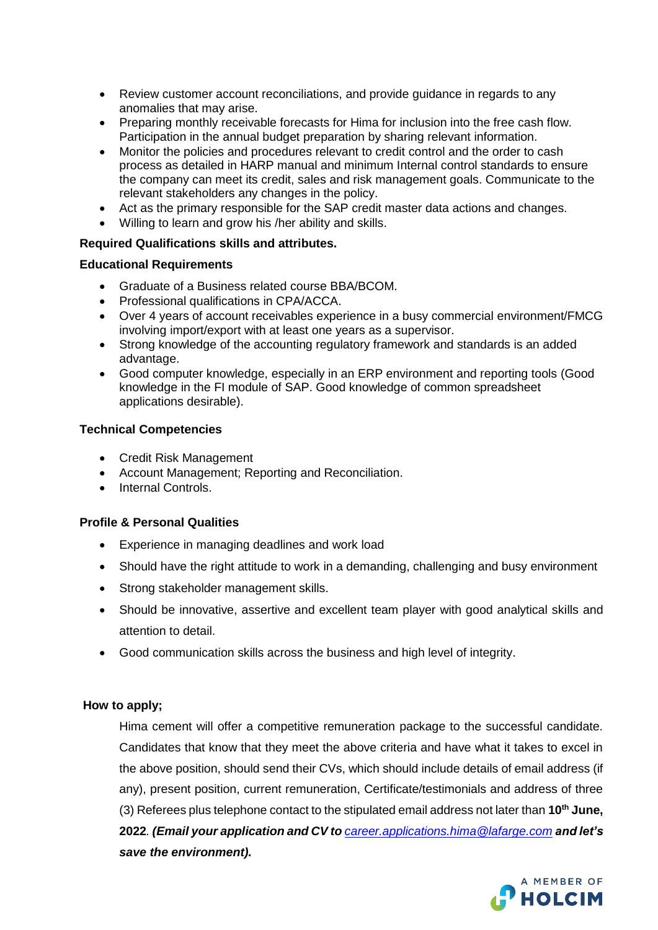- Review customer account reconciliations, and provide guidance in regards to any anomalies that may arise.
- Preparing monthly receivable forecasts for Hima for inclusion into the free cash flow. Participation in the annual budget preparation by sharing relevant information.
- Monitor the policies and procedures relevant to credit control and the order to cash process as detailed in HARP manual and minimum Internal control standards to ensure the company can meet its credit, sales and risk management goals. Communicate to the relevant stakeholders any changes in the policy.
- Act as the primary responsible for the SAP credit master data actions and changes.
- Willing to learn and grow his /her ability and skills.

## **Required Qualifications skills and attributes.**

## **Educational Requirements**

- Graduate of a Business related course BBA/BCOM.
- Professional qualifications in CPA/ACCA.
- Over 4 years of account receivables experience in a busy commercial environment/FMCG involving import/export with at least one years as a supervisor.
- Strong knowledge of the accounting regulatory framework and standards is an added advantage.
- Good computer knowledge, especially in an ERP environment and reporting tools (Good knowledge in the FI module of SAP. Good knowledge of common spreadsheet applications desirable).

## **Technical Competencies**

- Credit Risk Management
- Account Management; Reporting and Reconciliation.
- Internal Controls.

## **Profile & Personal Qualities**

- Experience in managing deadlines and work load
- Should have the right attitude to work in a demanding, challenging and busy environment
- Strong stakeholder management skills.
- Should be innovative, assertive and excellent team player with good analytical skills and attention to detail.
- Good communication skills across the business and high level of integrity.

## **How to apply;**

Hima cement will offer a competitive remuneration package to the successful candidate. Candidates that know that they meet the above criteria and have what it takes to excel in the above position, should send their CVs, which should include details of email address (if any), present position, current remuneration, Certificate/testimonials and address of three (3) Referees plus telephone contact to the stipulated email address not later than **10th June, 2022***. (Email your application and CV to [career.applications.hima@lafarge.com](mailto:career.applications.hima@lafarge.com) and let's save the environment).*